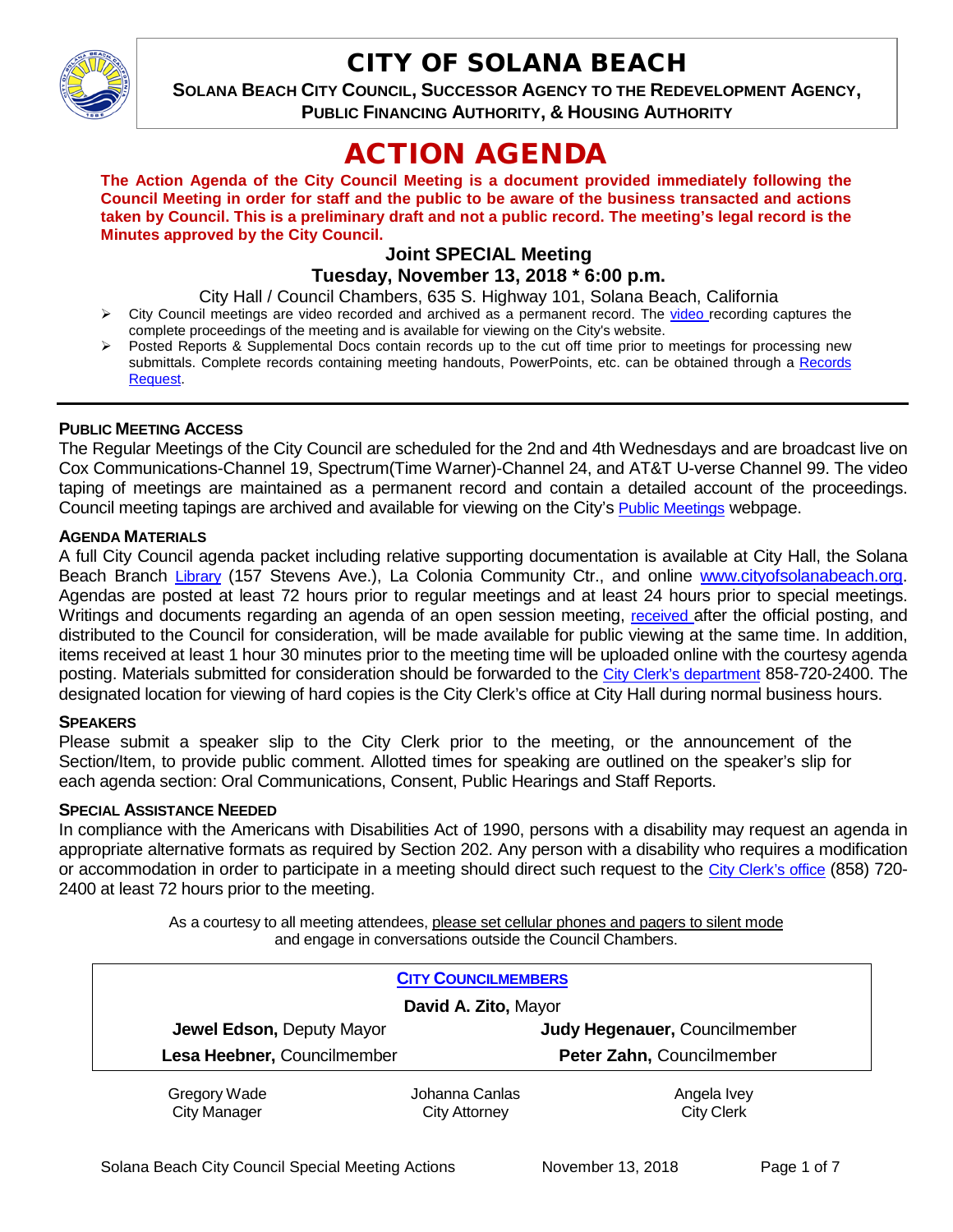

## CITY OF SOLANA BEACH

**SOLANA BEACH CITY COUNCIL, SUCCESSOR AGENCY TO THE REDEVELOPMENT AGENCY, PUBLIC FINANCING AUTHORITY, & HOUSING AUTHORITY** 

# ACTION AGENDA

**The Action Agenda of the City Council Meeting is a document provided immediately following the Council Meeting in order for staff and the public to be aware of the business transacted and actions taken by Council. This is a preliminary draft and not a public record. The meeting's legal record is the Minutes approved by the City Council.**

## **Joint SPECIAL Meeting**

## **Tuesday, November 13, 2018 \* 6:00 p.m.**

City Hall / Council Chambers, 635 S. Highway 101, Solana Beach, California

- $\triangleright$  City Council meetings are [video r](https://solanabeach.12milesout.com/#page=1)ecorded and archived as a permanent record. The video recording captures the complete proceedings of the meeting and is available for viewing on the City's website.
- Posted Reports & Supplemental Docs contain records up to the cut off time prior to meetings for processing new submittals. Complete records containing meeting handouts, PowerPoints, etc. can be obtained through a [Records](http://www.ci.solana-beach.ca.us/index.asp?SEC=F5D45D10-70CE-4291-A27C-7BD633FC6742&Type=B_BASIC)  [Request.](http://www.ci.solana-beach.ca.us/index.asp?SEC=F5D45D10-70CE-4291-A27C-7BD633FC6742&Type=B_BASIC)

## **PUBLIC MEETING ACCESS**

The Regular Meetings of the City Council are scheduled for the 2nd and 4th Wednesdays and are broadcast live on Cox Communications-Channel 19, Spectrum(Time Warner)-Channel 24, and AT&T U-verse Channel 99. The video taping of meetings are maintained as a permanent record and contain a detailed account of the proceedings. Council meeting tapings are archived and available for viewing on the City's [Public Meetings](https://www.ci.solana-beach.ca.us/index.asp?SEC=F0F1200D-21C6-4A88-8AE1-0BC07C1A81A7&Type=B_BASIC) webpage.

## **AGENDA MATERIALS**

A full City Council agenda packet including relative supporting documentation is available at City Hall, the Solana Beach Branch [Library](http://www.sdcl.org/locations_SB.html) (157 Stevens Ave.), La Colonia Community Ctr., and online [www.cityofsolanabeach.org.](http://www.cityofsolanabeach.org/) Agendas are posted at least 72 hours prior to regular meetings and at least 24 hours prior to special meetings. Writings and documents regarding an agenda of an open session meeting, [received a](mailto:EMAILGRP-CityClerksOfc@cosb.org)fter the official posting, and distributed to the Council for consideration, will be made available for public viewing at the same time. In addition, items received at least 1 hour 30 minutes prior to the meeting time will be uploaded online with the courtesy agenda posting. Materials submitted for consideration should be forwarded to the [City Clerk's department](mailto:EMAILGRP-CityClerksOfc@cosb.org) 858-720-2400. The designated location for viewing of hard copies is the City Clerk's office at City Hall during normal business hours.

## **SPEAKERS**

Please submit a speaker slip to the City Clerk prior to the meeting, or the announcement of the Section/Item, to provide public comment. Allotted times for speaking are outlined on the speaker's slip for each agenda section: Oral Communications, Consent, Public Hearings and Staff Reports.

#### **SPECIAL ASSISTANCE NEEDED**

In compliance with the Americans with Disabilities Act of 1990, persons with a disability may request an agenda in appropriate alternative formats as required by Section 202. Any person with a disability who requires a modification or accommodation in order to participate in a meeting should direct such request to the [City Clerk's office](mailto:clerkadmin@cosb.org?subject=City%20Clerk%20Notice%20of%20Special%20Services%20Needed) (858) 720- 2400 at least 72 hours prior to the meeting.

> As a courtesy to all meeting attendees, please set cellular phones and pagers to silent mode and engage in conversations outside the Council Chambers.

| <b>CITY COUNCILMEMBERS</b>  |                |                               |
|-----------------------------|----------------|-------------------------------|
| David A. Zito, Mayor        |                |                               |
| Jewel Edson, Deputy Mayor   |                | Judy Hegenauer, Councilmember |
| Lesa Heebner, Councilmember |                | Peter Zahn, Councilmember     |
| Gregory Wade                | Johanna Canlas | Angela Ivey                   |
| <b>City Manager</b>         | City Attorney  | <b>City Clerk</b>             |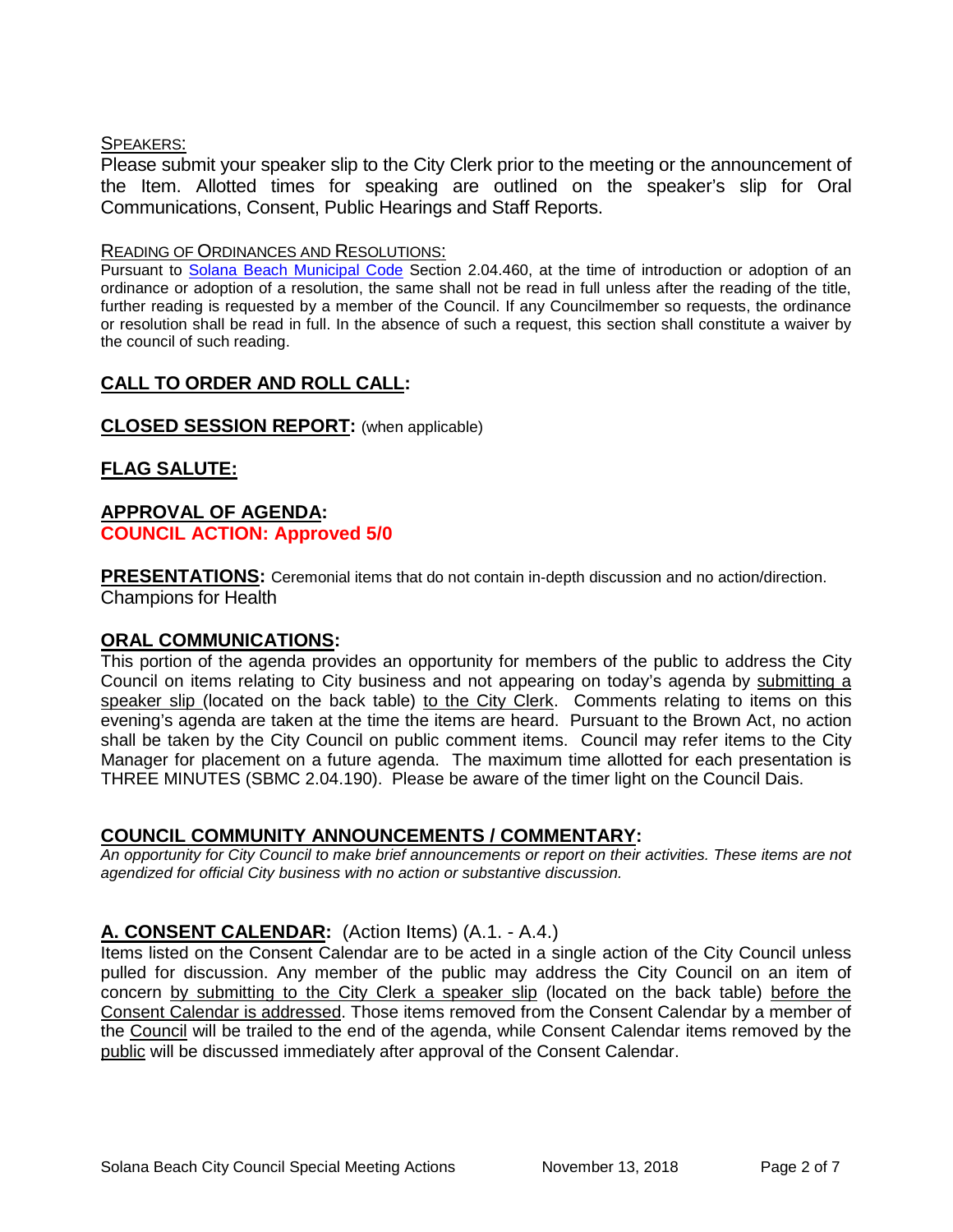## SPEAKERS:

Please submit your speaker slip to the City Clerk prior to the meeting or the announcement of the Item. Allotted times for speaking are outlined on the speaker's slip for Oral Communications, Consent, Public Hearings and Staff Reports.

#### READING OF ORDINANCES AND RESOLUTIONS:

Pursuant to [Solana Beach Municipal Code](mailto:https://www.codepublishing.com/CA/SolanaBeach/) Section 2.04.460, at the time of introduction or adoption of an ordinance or adoption of a resolution, the same shall not be read in full unless after the reading of the title, further reading is requested by a member of the Council. If any Councilmember so requests, the ordinance or resolution shall be read in full. In the absence of such a request, this section shall constitute a waiver by the council of such reading.

## **CALL TO ORDER AND ROLL CALL:**

## **CLOSED SESSION REPORT:** (when applicable)

## **FLAG SALUTE:**

## **APPROVAL OF AGENDA: COUNCIL ACTION: Approved 5/0**

**PRESENTATIONS:** Ceremonial items that do not contain in-depth discussion and no action/direction. Champions for Health

## **ORAL COMMUNICATIONS:**

This portion of the agenda provides an opportunity for members of the public to address the City Council on items relating to City business and not appearing on today's agenda by submitting a speaker slip (located on the back table) to the City Clerk. Comments relating to items on this evening's agenda are taken at the time the items are heard. Pursuant to the Brown Act, no action shall be taken by the City Council on public comment items. Council may refer items to the City Manager for placement on a future agenda. The maximum time allotted for each presentation is THREE MINUTES (SBMC 2.04.190). Please be aware of the timer light on the Council Dais.

## **COUNCIL COMMUNITY ANNOUNCEMENTS / COMMENTARY:**

*An opportunity for City Council to make brief announcements or report on their activities. These items are not agendized for official City business with no action or substantive discussion.* 

## **A. CONSENT CALENDAR:** (Action Items) (A.1. - A.4.)

Items listed on the Consent Calendar are to be acted in a single action of the City Council unless pulled for discussion. Any member of the public may address the City Council on an item of concern by submitting to the City Clerk a speaker slip (located on the back table) before the Consent Calendar is addressed. Those items removed from the Consent Calendar by a member of the Council will be trailed to the end of the agenda, while Consent Calendar items removed by the public will be discussed immediately after approval of the Consent Calendar.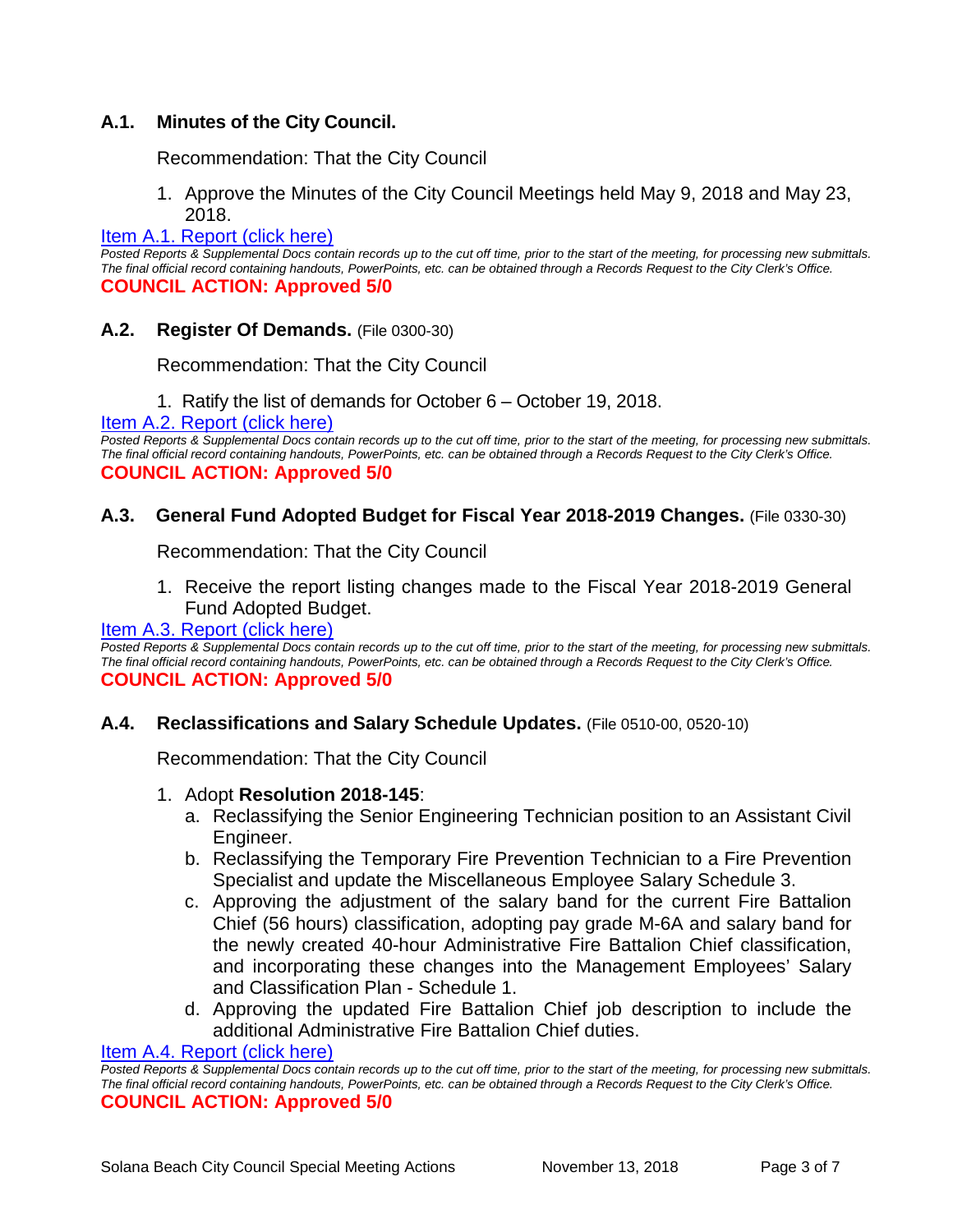## **A.1. Minutes of the City Council.**

Recommendation: That the City Council

1. Approve the Minutes of the City Council Meetings held May 9, 2018 and May 23, 2018.

#### [Item A.1. Report \(click here\)](https://solanabeach.govoffice3.com/vertical/Sites/%7B840804C2-F869-4904-9AE3-720581350CE7%7D/uploads/Item_A.1._Report_(click_here)_-_11-13-18.PDF)

*Posted Reports & Supplemental Docs contain records up to the cut off time, prior to the start of the meeting, for processing new submittals. The final official record containing handouts, PowerPoints, etc. can be obtained through a Records Request to the City Clerk's Office.* **COUNCIL ACTION: Approved 5/0**

## **A.2. Register Of Demands.** (File 0300-30)

Recommendation: That the City Council

1. Ratify the list of demands for October 6 – October 19, 2018.

[Item A.2. Report \(click here\)](https://solanabeach.govoffice3.com/vertical/Sites/%7B840804C2-F869-4904-9AE3-720581350CE7%7D/uploads/Item_A.2._Report_(click_here)_-_11-13-18.pdf) 

*Posted Reports & Supplemental Docs contain records up to the cut off time, prior to the start of the meeting, for processing new submittals. The final official record containing handouts, PowerPoints, etc. can be obtained through a Records Request to the City Clerk's Office.* **COUNCIL ACTION: Approved 5/0**

## **A.3. General Fund Adopted Budget for Fiscal Year 2018-2019 Changes.** (File 0330-30)

Recommendation: That the City Council

1. Receive the report listing changes made to the Fiscal Year 2018-2019 General Fund Adopted Budget.

#### [Item A.3. Report \(click here\)](https://solanabeach.govoffice3.com/vertical/Sites/%7B840804C2-F869-4904-9AE3-720581350CE7%7D/uploads/Item_A.3._Report_(click_here)_-_11-13-18.pdf)

*Posted Reports & Supplemental Docs contain records up to the cut off time, prior to the start of the meeting, for processing new submittals. The final official record containing handouts, PowerPoints, etc. can be obtained through a Records Request to the City Clerk's Office.* **COUNCIL ACTION: Approved 5/0**

#### **A.4. Reclassifications and Salary Schedule Updates.** (File 0510-00, 0520-10)

Recommendation: That the City Council

#### 1. Adopt **Resolution 2018-145**:

- a. Reclassifying the Senior Engineering Technician position to an Assistant Civil Engineer.
- b. Reclassifying the Temporary Fire Prevention Technician to a Fire Prevention Specialist and update the Miscellaneous Employee Salary Schedule 3.
- c. Approving the adjustment of the salary band for the current Fire Battalion Chief (56 hours) classification, adopting pay grade M-6A and salary band for the newly created 40-hour Administrative Fire Battalion Chief classification, and incorporating these changes into the Management Employees' Salary and Classification Plan - Schedule 1.
- d. Approving the updated Fire Battalion Chief job description to include the additional Administrative Fire Battalion Chief duties.

[Item A.4. Report \(click here\)](https://solanabeach.govoffice3.com/vertical/Sites/%7B840804C2-F869-4904-9AE3-720581350CE7%7D/uploads/Item_A.4._Report_(click_here)_-_11-13-18.PDF) 

*Posted Reports & Supplemental Docs contain records up to the cut off time, prior to the start of the meeting, for processing new submittals. The final official record containing handouts, PowerPoints, etc. can be obtained through a Records Request to the City Clerk's Office.* **COUNCIL ACTION: Approved 5/0**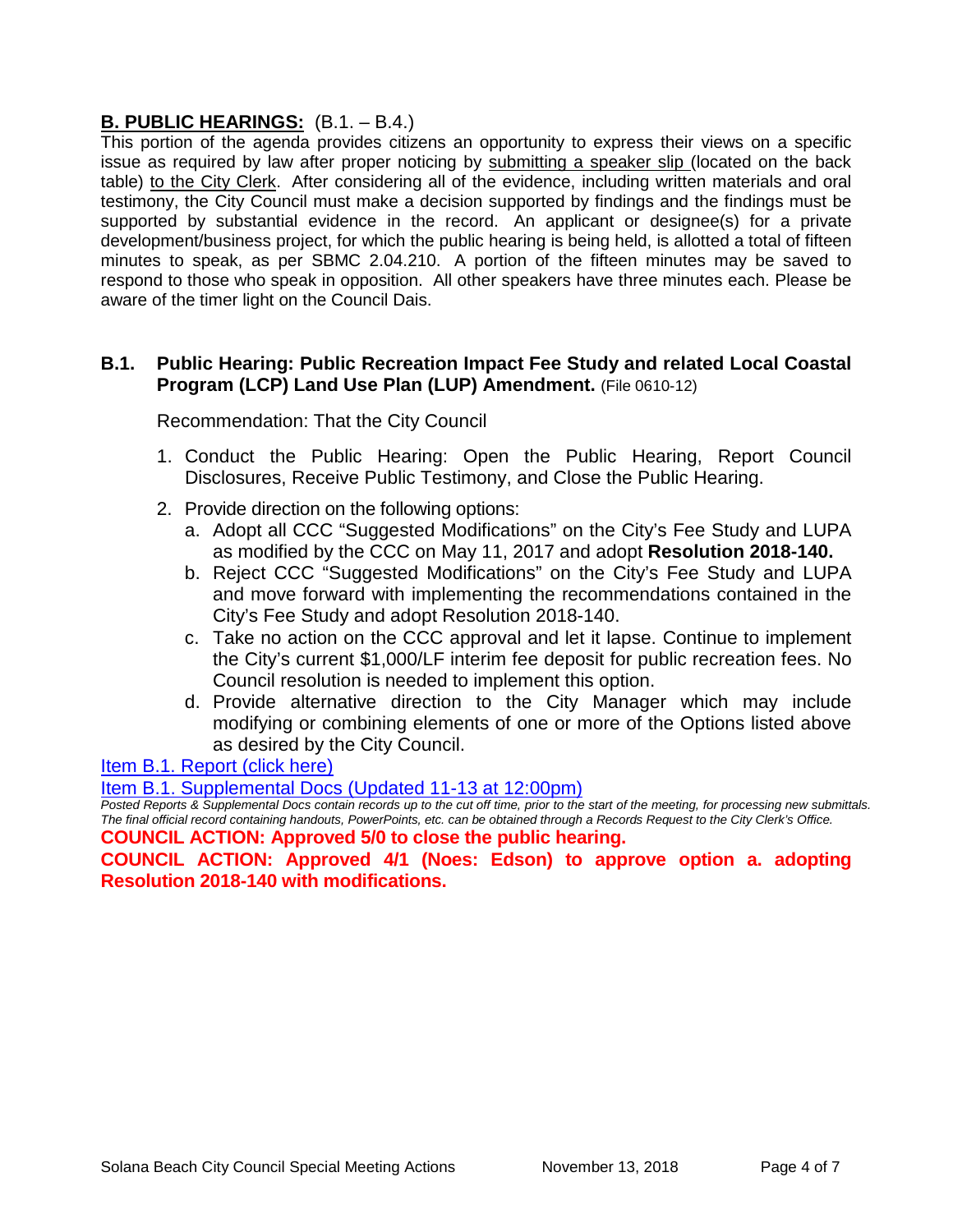## **B. PUBLIC HEARINGS:** (B.1. – B.4.)

This portion of the agenda provides citizens an opportunity to express their views on a specific issue as required by law after proper noticing by submitting a speaker slip (located on the back table) to the City Clerk. After considering all of the evidence, including written materials and oral testimony, the City Council must make a decision supported by findings and the findings must be supported by substantial evidence in the record. An applicant or designee(s) for a private development/business project, for which the public hearing is being held, is allotted a total of fifteen minutes to speak, as per SBMC 2.04.210. A portion of the fifteen minutes may be saved to respond to those who speak in opposition. All other speakers have three minutes each. Please be aware of the timer light on the Council Dais.

## **B.1. Public Hearing: Public Recreation Impact Fee Study and related Local Coastal Program (LCP) Land Use Plan (LUP) Amendment.** (File 0610-12)

Recommendation: That the City Council

- 1. Conduct the Public Hearing: Open the Public Hearing, Report Council Disclosures, Receive Public Testimony, and Close the Public Hearing.
- 2. Provide direction on the following options:
	- a. Adopt all CCC "Suggested Modifications" on the City's Fee Study and LUPA as modified by the CCC on May 11, 2017 and adopt **Resolution 2018-140.**
	- b. Reject CCC "Suggested Modifications" on the City's Fee Study and LUPA and move forward with implementing the recommendations contained in the City's Fee Study and adopt Resolution 2018-140.
	- c. Take no action on the CCC approval and let it lapse. Continue to implement the City's current \$1,000/LF interim fee deposit for public recreation fees. No Council resolution is needed to implement this option.
	- d. Provide alternative direction to the City Manager which may include modifying or combining elements of one or more of the Options listed above as desired by the City Council.

[Item B.1. Report \(click here\)](https://solanabeach.govoffice3.com/vertical/Sites/%7B840804C2-F869-4904-9AE3-720581350CE7%7D/uploads/Item_B.1._Report_(click_here)_-_11-13-18.PDF) 

[Item B.1. Supplemental Docs \(Updated 11-13 at 12:00pm\)](https://solanabeach.govoffice3.com/vertical/Sites/%7B840804C2-F869-4904-9AE3-720581350CE7%7D/uploads/B.1._Supplemental_Docs_(updated_11-13_at_12pm).pdf)

*Posted Reports & Supplemental Docs contain records up to the cut off time, prior to the start of the meeting, for processing new submittals. The final official record containing handouts, PowerPoints, etc. can be obtained through a Records Request to the City Clerk's Office.* **COUNCIL ACTION: Approved 5/0 to close the public hearing.**

**COUNCIL ACTION: Approved 4/1 (Noes: Edson) to approve option a. adopting** 

**Resolution 2018-140 with modifications.**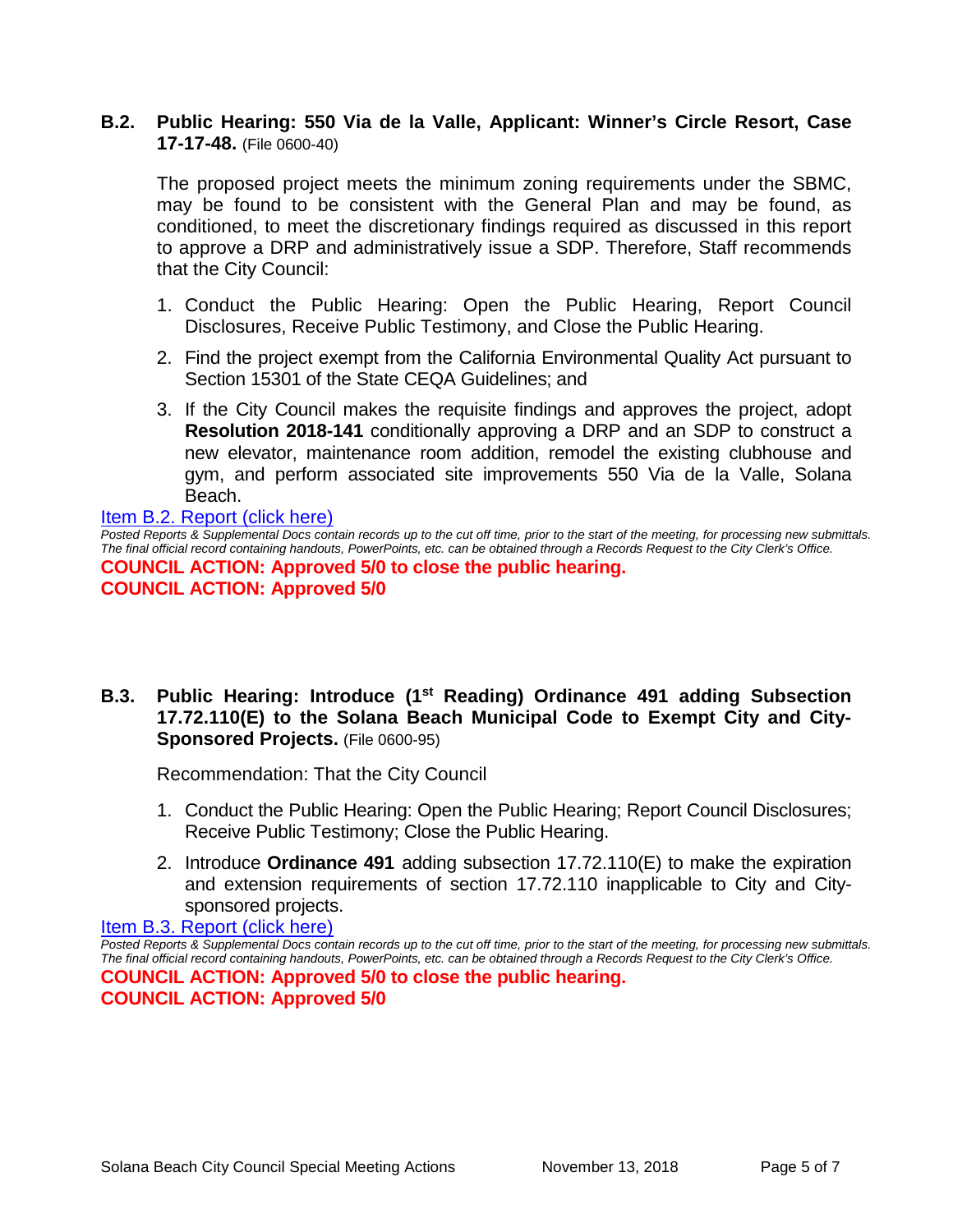## **B.2. Public Hearing: 550 Via de la Valle, Applicant: Winner's Circle Resort, Case 17-17-48.** (File 0600-40)

The proposed project meets the minimum zoning requirements under the SBMC, may be found to be consistent with the General Plan and may be found, as conditioned, to meet the discretionary findings required as discussed in this report to approve a DRP and administratively issue a SDP. Therefore, Staff recommends that the City Council:

- 1. Conduct the Public Hearing: Open the Public Hearing, Report Council Disclosures, Receive Public Testimony, and Close the Public Hearing.
- 2. Find the project exempt from the California Environmental Quality Act pursuant to Section 15301 of the State CEQA Guidelines; and
- 3. If the City Council makes the requisite findings and approves the project, adopt **Resolution 2018-141** conditionally approving a DRP and an SDP to construct a new elevator, maintenance room addition, remodel the existing clubhouse and gym, and perform associated site improvements 550 Via de la Valle, Solana Beach.

[Item B.2. Report \(click here\)](https://solanabeach.govoffice3.com/vertical/Sites/%7B840804C2-F869-4904-9AE3-720581350CE7%7D/uploads/Item_B.2._Report_(click_here)_-_11-13-18.PDF)  *Posted Reports & Supplemental Docs contain records up to the cut off time, prior to the start of the meeting, for processing new submittals. The final official record containing handouts, PowerPoints, etc. can be obtained through a Records Request to the City Clerk's Office.* **COUNCIL ACTION: Approved 5/0 to close the public hearing. COUNCIL ACTION: Approved 5/0** 

**B.3. Public Hearing: Introduce (1st Reading) Ordinance 491 adding Subsection 17.72.110(E) to the Solana Beach Municipal Code to Exempt City and City-Sponsored Projects.** (File 0600-95)

Recommendation: That the City Council

- 1. Conduct the Public Hearing: Open the Public Hearing; Report Council Disclosures; Receive Public Testimony; Close the Public Hearing.
- 2. Introduce **Ordinance 491** adding subsection 17.72.110(E) to make the expiration and extension requirements of section 17.72.110 inapplicable to City and Citysponsored projects.

[Item B.3. Report \(click here\)](https://solanabeach.govoffice3.com/vertical/Sites/%7B840804C2-F869-4904-9AE3-720581350CE7%7D/uploads/Item_B.3._Report_(click_here)_-_11-13-18.PDF) 

*Posted Reports & Supplemental Docs contain records up to the cut off time, prior to the start of the meeting, for processing new submittals. The final official record containing handouts, PowerPoints, etc. can be obtained through a Records Request to the City Clerk's Office.* **COUNCIL ACTION: Approved 5/0 to close the public hearing. COUNCIL ACTION: Approved 5/0**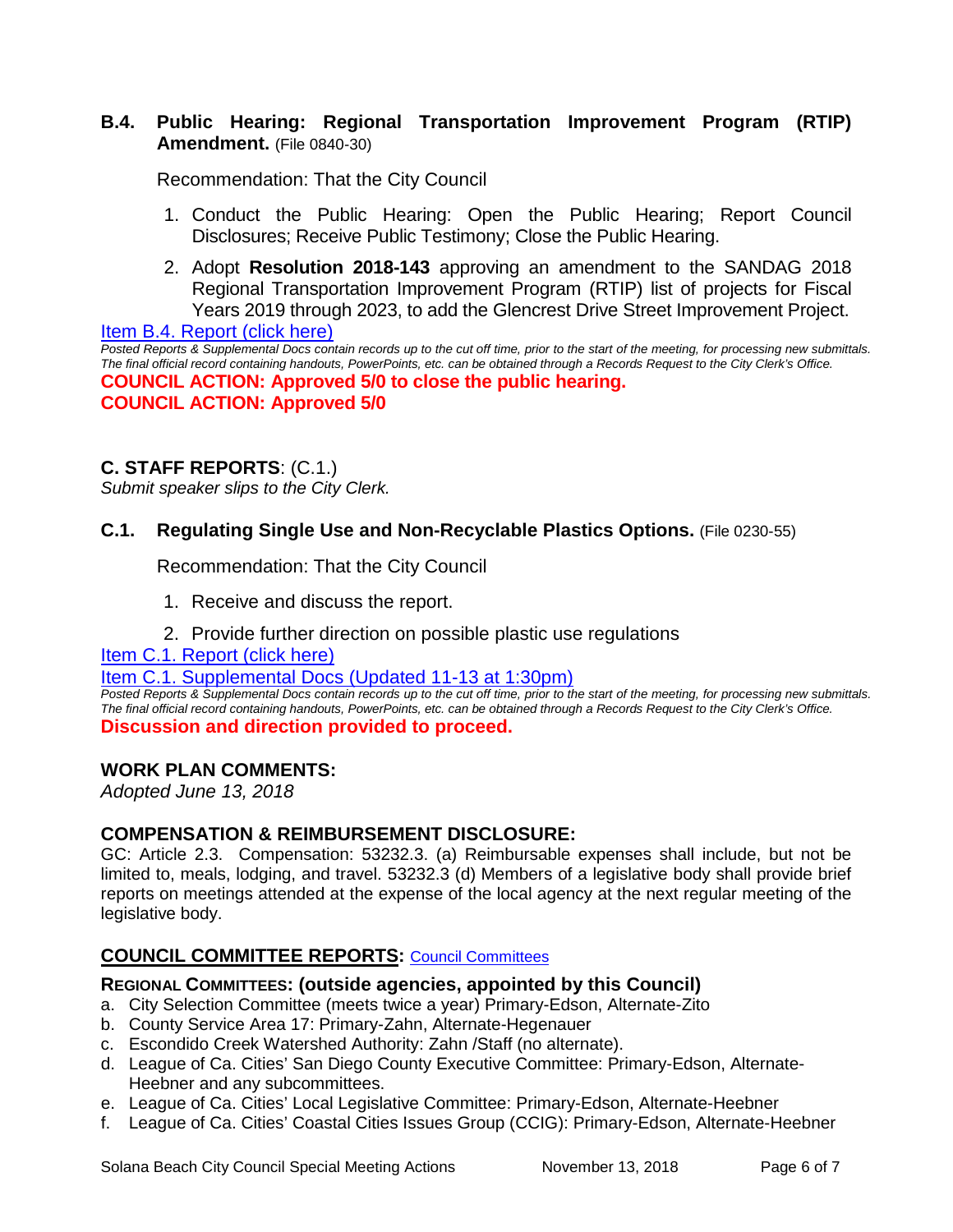## **B.4. Public Hearing: Regional Transportation Improvement Program (RTIP) Amendment.** (File 0840-30)

Recommendation: That the City Council

- 1. Conduct the Public Hearing: Open the Public Hearing; Report Council Disclosures; Receive Public Testimony; Close the Public Hearing.
- 2. Adopt **Resolution 2018-143** approving an amendment to the SANDAG 2018 Regional Transportation Improvement Program (RTIP) list of projects for Fiscal Years 2019 through 2023, to add the Glencrest Drive Street Improvement Project.

[Item B.4. Report \(click here\)](https://solanabeach.govoffice3.com/vertical/Sites/%7B840804C2-F869-4904-9AE3-720581350CE7%7D/uploads/Item_B.4._Report_(click_here)_-_11-13-18.PDF)  *Posted Reports & Supplemental Docs contain records up to the cut off time, prior to the start of the meeting, for processing new submittals. The final official record containing handouts, PowerPoints, etc. can be obtained through a Records Request to the City Clerk's Office.* **COUNCIL ACTION: Approved 5/0 to close the public hearing. COUNCIL ACTION: Approved 5/0** 

## **C. STAFF REPORTS**: (C.1.)

*Submit speaker slips to the City Clerk.*

## **C.1. Regulating Single Use and Non-Recyclable Plastics Options.** (File 0230-55)

Recommendation: That the City Council

- 1. Receive and discuss the report.
- 2. Provide further direction on possible plastic use regulations

## [Item C.1. Report \(click here\)](https://solanabeach.govoffice3.com/vertical/Sites/%7B840804C2-F869-4904-9AE3-720581350CE7%7D/uploads/Item_C.1._Report_(click_here)_-_11-13-18.PDF)

#### [Item C.1. Supplemental Docs \(Updated 11-13 at 1:30pm\)](https://solanabeach.govoffice3.com/vertical/Sites/%7B840804C2-F869-4904-9AE3-720581350CE7%7D/uploads/C.1._Supplemental_Docs_(Updated_11-13_at_130pm).pdf)

*Posted Reports & Supplemental Docs contain records up to the cut off time, prior to the start of the meeting, for processing new submittals. The final official record containing handouts, PowerPoints, etc. can be obtained through a Records Request to the City Clerk's Office.* **Discussion and direction provided to proceed.** 

## **WORK PLAN COMMENTS:**

*Adopted June 13, 2018*

## **COMPENSATION & REIMBURSEMENT DISCLOSURE:**

GC: Article 2.3. Compensation: 53232.3. (a) Reimbursable expenses shall include, but not be limited to, meals, lodging, and travel. 53232.3 (d) Members of a legislative body shall provide brief reports on meetings attended at the expense of the local agency at the next regular meeting of the legislative body.

## **COUNCIL COMMITTEE REPORTS:** [Council Committees](https://www.ci.solana-beach.ca.us/index.asp?SEC=584E1192-3850-46EA-B977-088AC3E81E0D&Type=B_BASIC)

## **REGIONAL COMMITTEES: (outside agencies, appointed by this Council)**

- a. City Selection Committee (meets twice a year) Primary-Edson, Alternate-Zito
- b. County Service Area 17: Primary-Zahn, Alternate-Hegenauer
- c. Escondido Creek Watershed Authority: Zahn /Staff (no alternate).
- d. League of Ca. Cities' San Diego County Executive Committee: Primary-Edson, Alternate-Heebner and any subcommittees.
- e. League of Ca. Cities' Local Legislative Committee: Primary-Edson, Alternate-Heebner
- f. League of Ca. Cities' Coastal Cities Issues Group (CCIG): Primary-Edson, Alternate-Heebner